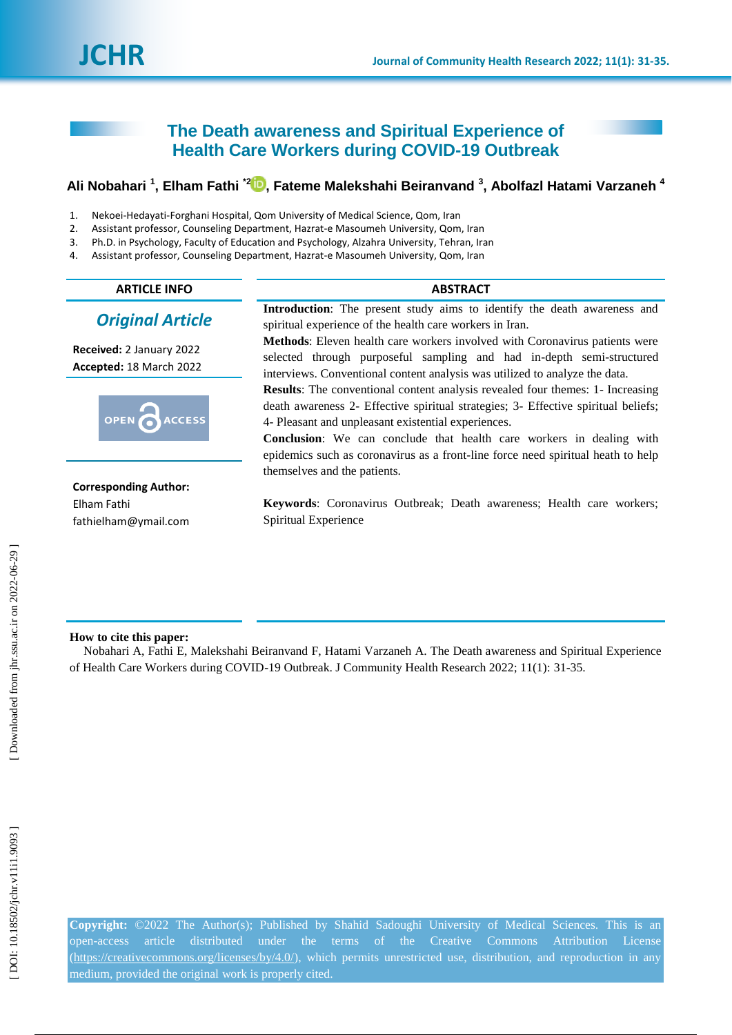# **The Death awareness and Spiritual Experience of Health Care Workers during COVID -19 Outbreak**

## **Ali Nobahari 1 , Elham Fathi \*[2](https://orcid.org/0000-0002-9902-201x) , Fateme Malekshahi Beiranvand 3 , Abolfazl Hatami Varzaneh 4**

- 1 . Nekoei -Hedayati -Forghani Hospital, Qom University of Medical Science, Qom, Iran
- $2<sub>1</sub>$ . Assistant professor, Counseling Department, Hazrat -e Masoumeh University, Qom, Iran
- 3 . Ph.D. in Psychology, Faculty of Education and Psychology, Alzahra University, Tehran, Iran
- 4 . Assistant professor, Counseling Department, Hazrat -e Masoumeh University, Qom, Iran

## **ARTICLE INFO ABSTRACT**

# *Original Article*

**Received:**  2 January 202 2 **Accepted:** 18 March 202 2



## **Corresponding Author:** Elham Fathi fathielham@ymail.com

**Introduction**: The present study aims to identify the death awareness and spiritual experience of the health care workers in Iran.

**Methods**: Eleven health care workers involved with Coronavirus patients were selected through purposeful sampling and had in-depth semi-structured interviews. Conventional content analysis was utilized to analyze the data.

Results: The conventional content analysis revealed four themes: 1- Increasing death awareness 2 - Effective spiritual strategies; 3 - Effective spiritual beliefs; 4 - Pleasant and unpleasant existential experiences .

**Conclusion**: We can conclude that health care workers in dealing with epidemics such as coronavirus as a front -line force need spiritual heath to help themselves and the patients.

**Keywords**: Coronavirus Outbreak; Death awareness; Health care workers; Spiritual Experience

## **How to cite this paper:**

Nobahari A, Fathi E, Malekshahi Beiranvand F, Hatami Varzaneh A. The Death awareness and Spiritual Experience of Health Care Workers during COVID-19 Outbreak. J Community Health Research 2022; 11(1): 31-35.

 [\[ DOI: 10.18502/jchr.v11i1.9093 \]](http://dx.doi.org/10.18502/jchr.v11i1.9093) [\[ Downloaded from jhr.ssu.ac.ir on 2022-0](https://jhr.ssu.ac.ir/article-1-736-en.html)6-29 ] DOI: 10.18502/jchr.v11i1.9093

Downloaded from jhr.ssu.ac.ir on 2022-06-29 ]

**Copyright:** ©2022 The Author(s); Published by Shahid Sadoughi University of Medical Sciences. This is an open-access article distributed under the terms of the Creative Commons Attribution License (https://creativecommons.org/licenses/by/4.0/), which permits unrestricted use, distribution, and reproduction in any medium, provided the original work is properly cited.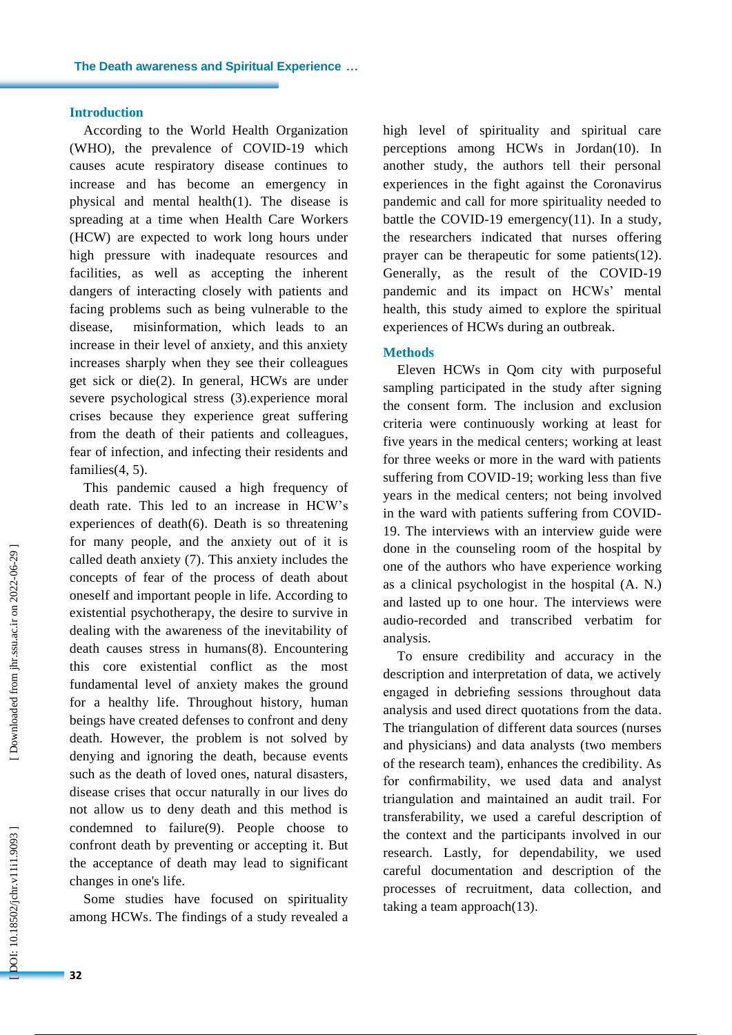## **Introduction**

According to the World Health Organization (WHO), the prevalence of COVID -19 which causes acute respiratory disease continues to increase and has become an emergency in physical and mental health(1) . The disease is spreading at a time when Health Care Workers (HCW) are expected to work long hours under high pressure with inadequate resources and facilities, as well as accepting the inherent dangers of interacting closely with patients and facing problems such as being vulnerable to the disease, misinformation, which leads to an increase in their level of anxiety, and this anxiety increases sharply when they see their colleagues get sick or die(2). In general, HCWs are under severe psychological stress (3). experience moral crises because they experience great suffering from the death of their patients and colleagues, fear of infection , and infecting their residents and families(4, 5) .

This pandemic caused a high frequency of death rate . This led to an increase in HCW's experiences of death(6). Death is so threatening for many people, and the anxiety out of it is called death anxiety (7). This anxiety includes the concepts of fear of the process of death about oneself and important people in life. According to existential psychotherap y , the desire to survive in dealing with the awareness of the inevitability of death causes stress in humans(8) . Encountering this core existential conflict as the most fundamental level of anxiety makes the ground for a healthy life. Throughout history, human beings have created defenses to confront and deny death. However, the problem is not solved by denying and ignoring the death, because events such as the death of loved ones, natural disasters, disease crises that occur naturally in our lives do not allow us to deny death and this method is condemned to failure(9). People choose to confront death by preventing or accepting it. But the acceptance of death may lead to significant changes in one's life.

Some studies have focused on spirituality among HCWs. The findings of a study revealed a high level of spirituality and spiritual care perceptions among HCWs in Jordan(10) . In another study , the authors tell their personal experiences in the fight against the Coronavirus pandemic and call for more spirituality needed to battle the COVID -19 emergency(11) . In a study , the researchers indicated that nurses offering prayer can be therapeutic for some patients(12). Generally, as the result of the COVID -19 pandemic and its impact on HCWs' mental health, this study aimed to explore the spiritual experiences of HCWs during an outbreak.

### **Methods**

Eleven HCWs in Qom city with purposeful sampling participated in the study after signing the consent form. The inclusion and exclusion criteria were continuously working at least for five years in the medical centers; working at least for three weeks or more in the ward with patients suffering from COVID -19; working less than five years in the medical centers; not being involved in the ward with patients suffering from COVID - 19. The interviews with an interview guide were done in the counseling room of the hospital by one of the authors who have experience working as a clinical psychologist in the hospital (A. N.) and lasted up to one hour. The interviews were audio -recorded and transcribed verbatim for analysis.

To ensure credibility and accuracy in the description and interpretation of data, we actively engaged in debriefing sessions throughout data analysis and used direct quotations from the data . The triangulation of different data sources (nurses and physicians) and data analysts (two members of the research team ) , enhances the credibility. As for confirmability, we used data and analyst triangulation and maintained an audit trail. For transferability, we used a careful description of the context and the participants involved in our research. Lastly, for dependability, we used careful documentation and description of the processes of recruitment, data collection, and taking a team approach(13) .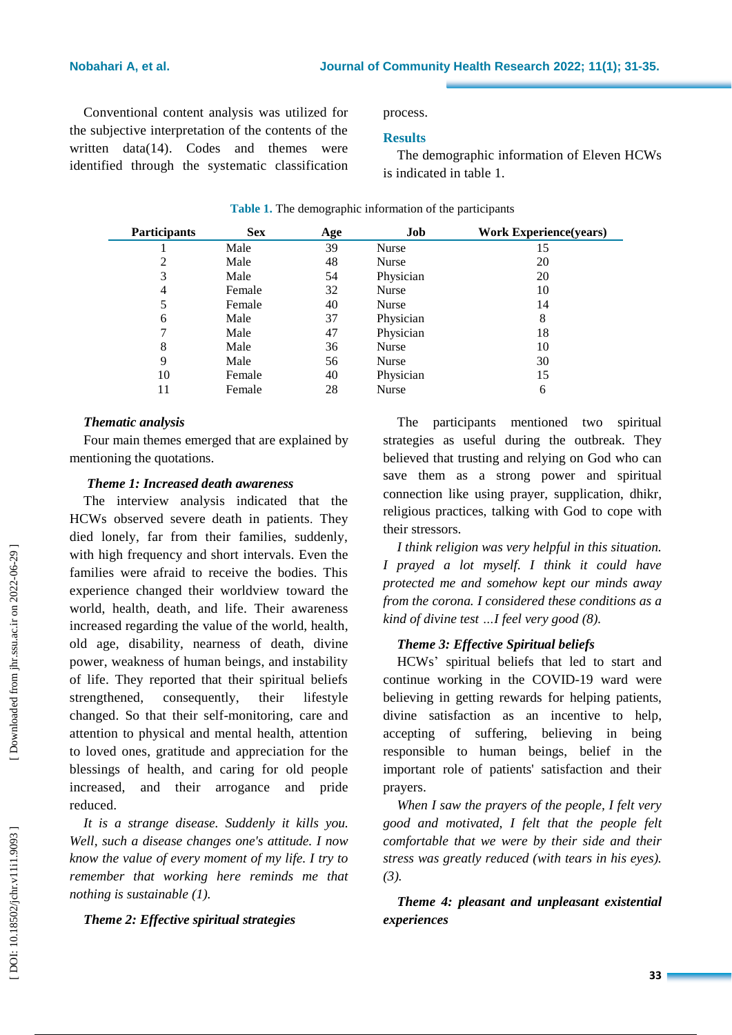Conventional content analysis was utilized for the subjective interpretation of the contents of the written data(14). Codes and themes were identified through the systematic classification

process.

## **Results**

The demographic information of Eleven HCWs is indicated in table 1.

| <b>Participants</b> | <b>Sex</b> | Age | Job          | <b>Work Experience(years)</b> |
|---------------------|------------|-----|--------------|-------------------------------|
|                     | Male       | 39  | Nurse        | 15                            |
| 2                   | Male       | 48  | <b>Nurse</b> | 20                            |
| 3                   | Male       | 54  | Physician    | 20                            |
| 4                   | Female     | 32  | <b>Nurse</b> | 10                            |
| 5                   | Female     | 40  | Nurse        | 14                            |
| 6                   | Male       | 37  | Physician    | 8                             |
| 7                   | Male       | 47  | Physician    | 18                            |
| 8                   | Male       | 36  | <b>Nurse</b> | 10                            |
| 9                   | Male       | 56  | Nurse        | 30                            |
| 10                  | Female     | 40  | Physician    | 15                            |
| 11                  | Female     | 28  | <b>Nurse</b> | 6                             |

## **Table 1.** The demographic information of the participants

## *Thematic analysis*

Four main themes emerged that are explained by mentioning the quotations.

## *Theme 1: Increased death awareness*

The interview analysis indicated that the HCWs observed severe death in patients . They died lonely, far from their families, suddenly, with high frequency and short intervals. Even the families were afraid to receive the bodies. This experience changed their worldview toward the world, health, death , and life. Their awareness increased regarding the value of the world, health, old age, disability, nearness of death, divine power, weakness of human beings, and instability of life. They reported that their spiritual beliefs strengthened. , consequently, their lifestyle changed. So that their self -monitoring , care and attention to physical and mental health, attention to loved ones, gratitude and appreciation for the blessings of health , and caring for old people increased , and their arrogance and pride reduced.

*It is a strange disease. Suddenly it kills you. Well, such a disease changes one's attitude. I now know the value of every moment of my life. I try to remember that working here reminds me that nothing is sustainable (1).*

*Theme 2: Effective spiritual strategies*

The participants mentioned two spiritual strategies as useful during the outbreak. They believed that trusting and relying on God who can save them as a strong power and spiritual connection like using prayer, supplication, dhikr, religious practices, talking with God to cope with their stressors.

*I think religion was very helpful in this situation. I prayed a lot myself. I think it could have protected me and somehow kept our minds away from the corona. I considered these conditions as a kind of divine test …I feel very good (8) .*

## *Theme 3: Effective Spiritual beliefs*

HCWs ' spiritual beliefs that led to start and continue working in the COVID -19 ward were believing in getting rewards for helping patients, divine satisfaction as an incentive to help, accepting of suffering, believing in being responsible to human beings, belief in the important role of patients' satisfaction and their prayers.

*When I saw the prayers of the people, I felt very good and motivated, I felt that the people felt comfortable that we were by their side and their stress was greatly reduced (with tears in his eyes). (3).*

*Theme 4: pleasant and unpleasant existential experiences*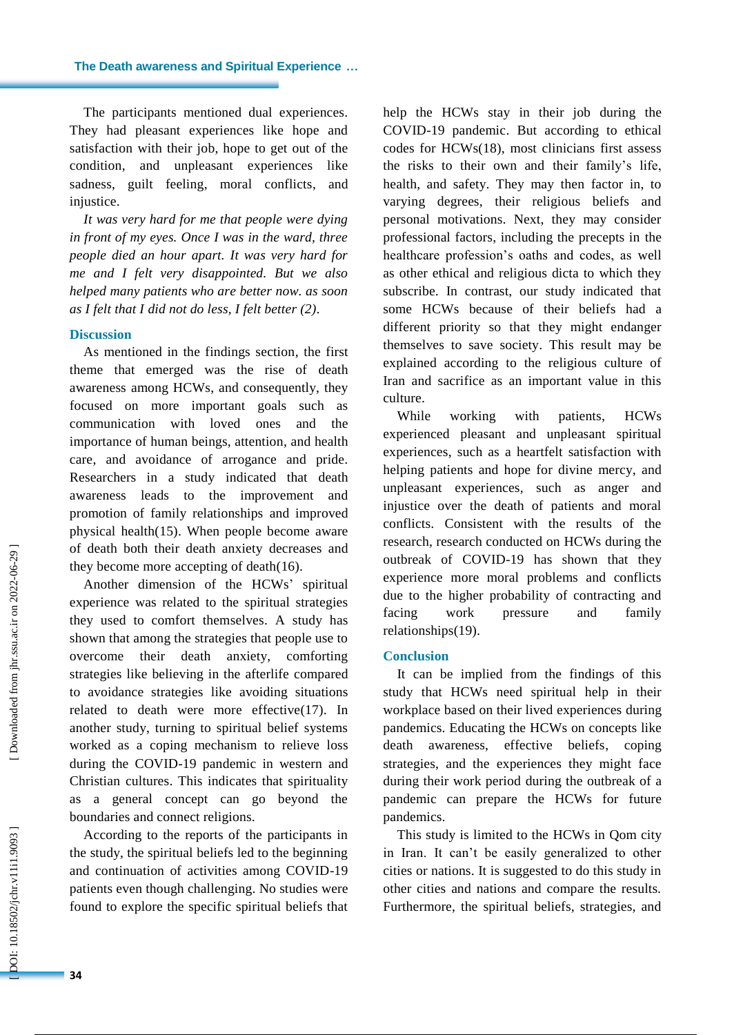The participants mentioned dual experiences. They had pleasant experiences like hope and satisfaction with their job, hope to get out of the condition , and unpleasant experiences like sadness, guilt feeling, moral conflicts , and injustice.

*It was very hard for me that people were dying in front of my eyes. Once I was in the ward, three people died an hour apart. It was very hard for me and I felt very disappointed. But we also helped many patients who are better now. as soon as I felt that I did not do less, I felt better (2).* 

#### **Discussion**

As mentioned in the findings section, the first theme that emerged was the rise of death awareness among HCWs , and consequently, they focused on more important goals such as communication with loved ones and the importance of human beings, attention , and health care , and avoidance of arrogance and pride. Researchers in a study indicated that death awareness leads to the improvement and promotion of family relationships and improved physical health(15) . When people become aware of death both their death anxiety decreases and they become more accepting of death(16) .

Another dimension of the HCWs ' spiritual experience was related to the spiritual strategies they used to comfort themselves. A study has shown that among the strategies that people use to overcome their death anxiety, comforting strategies like believing in the afterlife compared to avoidance strategies like avoiding situations related to death were more effective(17) . In another study, turning to spiritual belief systems worked as a coping mechanism to relieve loss during the COVID -19 pandemic in western and Christian cultures. This indicates that spirituality as a general concept can go beyond the boundaries and connect religions.

According to the reports of the participants in the study, the spiritual beliefs led to the beginning and continuation of activities among COVID -19 patients even though challenging. No studies were found to explore the specific spiritual beliefs that

help the HCWs stay in their job during the COVID -19 pandemic . But according to ethical codes for HCWs(18), most clinicians first assess the risks to their own and their family's life, health, and safety. They may then factor in, to varying degrees, their religious beliefs and personal motivations. Next, they may consider professional factors, including the precepts in the healthcare profession's oaths and codes, as well as other ethical and religious dicta to which they subscribe. In contrast, our study indicated that some HCWs because of their beliefs had a different priority so that they might endanger themselves to save society. This result may be explained according to the religious culture of Iran and sacrifice as an important value in this culture.

While working with patients, HCWs experienced pleasant and unpleasant spiritual experiences, such as a heartfelt satisfaction with helping patients and hope for divine mercy, and unpleasant experiences, such as anger and injustice over the death of patients and moral conflicts. Consistent with the results of the research, research conducted on HCWs during the outbreak of COVID -19 has shown that they experience more moral problems and conflicts due to the higher probability of contracting and facing work pressure and family relationships(19) .

### **Conclusion**

It can be implied from the findings of this study that HCWs need spiritual help in their workplace based on their lived experiences during pandemics. Educating the HCWs on concepts like death awareness, effective beliefs , coping strategies , and the experiences they might face during their work period during the outbreak of a pandemic can prepare the HCWs for future pandemics.

This study is limited to the HCWs in Qom city in Iran. It can't be easily generalized to other cities or nations. It is suggested to do this study in other cities and nations and compare the results. Furthermore, the spiritual beliefs, strategies, and

 [\[ DOI: 10.18502/jchr.v11i1.9093 \]](http://dx.doi.org/10.18502/jchr.v11i1.9093) [\[ Downloaded from jhr.ssu.ac.ir on 2022-0](https://jhr.ssu.ac.ir/article-1-736-en.html)6-29 ]

OOI: 10.18502/jchr.v11i1.9093

Downloaded from jhr.ssu.ac.ir on 2022-06-29 ]